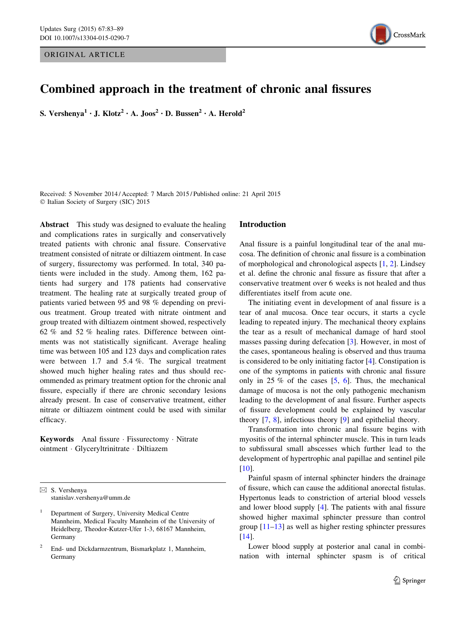ORIGINAL ARTICLE



# Combined approach in the treatment of chronic anal fissures

S. Vershenya<sup>1</sup> • J. Klotz<sup>2</sup> • A. Joos<sup>2</sup> • D. Bussen<sup>2</sup> • A. Herold<sup>2</sup>

Received: 5 November 2014 / Accepted: 7 March 2015 / Published online: 21 April 2015 - Italian Society of Surgery (SIC) 2015

Abstract This study was designed to evaluate the healing and complications rates in surgically and conservatively treated patients with chronic anal fissure. Conservative treatment consisted of nitrate or diltiazem ointment. In case of surgery, fissurectomy was performed. In total, 340 patients were included in the study. Among them, 162 patients had surgery and 178 patients had conservative treatment. The healing rate at surgically treated group of patients varied between 95 and 98 % depending on previous treatment. Group treated with nitrate ointment and group treated with diltiazem ointment showed, respectively 62 % and 52 % healing rates. Difference between ointments was not statistically significant. Average healing time was between 105 and 123 days and complication rates were between 1.7 and 5.4 %. The surgical treatment showed much higher healing rates and thus should recommended as primary treatment option for the chronic anal fissure, especially if there are chronic secondary lesions already present. In case of conservative treatment, either nitrate or diltiazem ointment could be used with similar efficacy.

Keywords Anal fissure · Fissurectomy · Nitrate ointment - Glyceryltrinitrate - Diltiazem

 $\boxtimes$  S. Vershenya stanislav.vershenya@umm.de

<sup>2</sup> End- und Dickdarmzentrum, Bismarkplatz 1, Mannheim, Germany

### Introduction

Anal fissure is a painful longitudinal tear of the anal mucosa. The definition of chronic anal fissure is a combination of morphological and chronological aspects [\[1](#page-5-0), [2](#page-5-0)]. Lindsey et al. define the chronic anal fissure as fissure that after a conservative treatment over 6 weeks is not healed and thus differentiates itself from acute one.

The initiating event in development of anal fissure is a tear of anal mucosa. Once tear occurs, it starts a cycle leading to repeated injury. The mechanical theory explains the tear as a result of mechanical damage of hard stool masses passing during defecation [\[3](#page-5-0)]. However, in most of the cases, spontaneous healing is observed and thus trauma is considered to be only initiating factor [[4\]](#page-5-0). Constipation is one of the symptoms in patients with chronic anal fissure only in 25 % of the cases  $[5, 6]$  $[5, 6]$  $[5, 6]$  $[5, 6]$ . Thus, the mechanical damage of mucosa is not the only pathogenic mechanism leading to the development of anal fissure. Further aspects of fissure development could be explained by vascular theory [\[7](#page-5-0), [8](#page-5-0)], infectious theory [\[9](#page-5-0)] and epithelial theory.

Transformation into chronic anal fissure begins with myositis of the internal sphincter muscle. This in turn leads to subfissural small abscesses which further lead to the development of hypertrophic anal papillae and sentinel pile [\[10](#page-5-0)].

Painful spasm of internal sphincter hinders the drainage of fissure, which can cause the additional anorectal fistulas. Hypertonus leads to constriction of arterial blood vessels and lower blood supply [\[4](#page-5-0)]. The patients with anal fissure showed higher maximal sphincter pressure than control group [[11–13\]](#page-5-0) as well as higher resting sphincter pressures [\[14](#page-5-0)].

Lower blood supply at posterior anal canal in combination with internal sphincter spasm is of critical

<sup>1</sup> Department of Surgery, University Medical Centre Mannheim, Medical Faculty Mannheim of the University of Heidelberg, Theodor-Kutzer-Ufer 1-3, 68167 Mannheim, Germany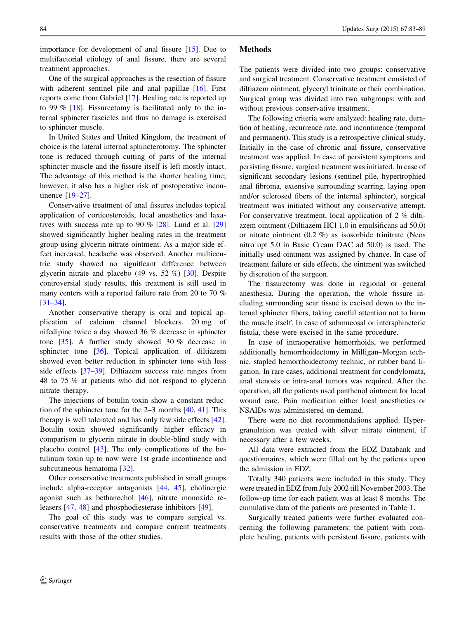importance for development of anal fissure [\[15](#page-5-0)]. Due to multifactorial etiology of anal fissure, there are several treatment approaches.

One of the surgical approaches is the resection of fissure with adherent sentinel pile and anal papillae [\[16](#page-5-0)]. First reports come from Gabriel [[17\]](#page-5-0). Healing rate is reported up to 99 % [[18\]](#page-5-0). Fissurectomy is facilitated only to the internal sphincter fascicles and thus no damage is exercised to sphincter muscle.

In United States and United Kingdom, the treatment of choice is the lateral internal sphincterotomy. The sphincter tone is reduced through cutting of parts of the internal sphincter muscle and the fissure itself is left mostly intact. The advantage of this method is the shorter healing time; however, it also has a higher risk of postoperative incontinence [[19–27\]](#page-5-0).

Conservative treatment of anal fissures includes topical application of corticosteroids, local anesthetics and laxatives with success rate up to 90  $\%$  [[28\]](#page-5-0). Lund et al. [[29\]](#page-5-0) showed significantly higher healing rates in the treatment group using glycerin nitrate ointment. As a major side effect increased, headache was observed. Another multicentric study showed no significant difference between glycerin nitrate and placebo (49 vs. 52 %) [\[30](#page-5-0)]. Despite controversial study results, this treatment is still used in many centers with a reported failure rate from 20 to 70 % [\[31–34](#page-5-0)].

Another conservative therapy is oral and topical application of calcium channel blockers. 20 mg of nifedipine twice a day showed 36 % decrease in sphincter tone  $[35]$ . A further study showed 30 % decrease in sphincter tone [[36\]](#page-5-0). Topical application of diltiazem showed even better reduction in sphincter tone with less side effects [\[37–39](#page-6-0)]. Diltiazem success rate ranges from 48 to 75 % at patients who did not respond to glycerin nitrate therapy.

The injections of botulin toxin show a constant reduction of the sphincter tone for the 2–3 months [[40,](#page-6-0) [41\]](#page-6-0). This therapy is well tolerated and has only few side effects [\[42](#page-6-0)]. Botulin toxin showed significantly higher efficacy in comparison to glycerin nitrate in double-blind study with placebo control [[43\]](#page-6-0). The only complications of the botulinum toxin up to now were 1st grade incontinence and subcutaneous hematoma [[32\]](#page-5-0).

Other conservative treatments published in small groups include alpha-receptor antagonists [\[44](#page-6-0), [45](#page-6-0)], cholinergic agonist such as bethanechol [\[46](#page-6-0)], nitrate monoxide releasers [[47,](#page-6-0) [48\]](#page-6-0) and phosphodiesterase inhibitors [[49\]](#page-6-0).

The goal of this study was to compare surgical vs. conservative treatments and compare current treatments results with those of the other studies.

## Methods

The patients were divided into two groups: conservative and surgical treatment. Conservative treatment consisted of diltiazem ointment, glyceryl trinitrate or their combination. Surgical group was divided into two subgroups: with and without previous conservative treatment.

The following criteria were analyzed: healing rate, duration of healing, recurrence rate, and incontinence (temporal and permanent). This study is a retrospective clinical study. Initially in the case of chronic anal fissure, conservative treatment was applied. In case of persistent symptoms and persisting fissure, surgical treatment was initiated. In case of significant secondary lesions (sentinel pile, hypertrophied anal fibroma, extensive surrounding scarring, laying open and/or sclerosed fibers of the internal sphincter), surgical treatment was initiated without any conservative attempt. For conservative treatment, local application of 2 % diltiazem ointment (Diltiazem HCl 1.0 in emulsificans ad 50.0) or nitrate ointment (0.2 %) as isosorbide trinitrate (Neos nitro opt 5.0 in Basic Cream DAC ad 50.0) is used. The initially used ointment was assigned by chance. In case of treatment failure or side effects, the ointment was switched by discretion of the surgeon.

The fissurectomy was done in regional or general anesthesia. During the operation, the whole fissure including surrounding scar tissue is excised down to the internal sphincter fibers, taking careful attention not to harm the muscle itself. In case of submucosal or intersphincteric fistula, these were excised in the same procedure.

In case of intraoperative hemorrhoids, we performed additionally hemorrhoidectomy in Milligan–Morgan technic, stapled hemorrhoidectomy technic, or rubber band ligation. In rare cases, additional treatment for condylomata, anal stenosis or intra-anal tumors was required. After the operation, all the patients used panthenol ointment for local wound care. Pain medication either local anesthetics or NSAIDs was administered on demand.

There were no diet recommendations applied. Hypergranulation was treated with silver nitrate ointment, if necessary after a few weeks.

All data were extracted from the EDZ Databank and questionnaires, which were filled out by the patients upon the admission in EDZ.

Totally 340 patients were included in this study. They were treated in EDZ from July 2002 till November 2003. The follow-up time for each patient was at least 8 months. The cumulative data of the patients are presented in Table [1.](#page-2-0)

Surgically treated patients were further evaluated concerning the following parameters: the patient with complete healing, patients with persistent fissure, patients with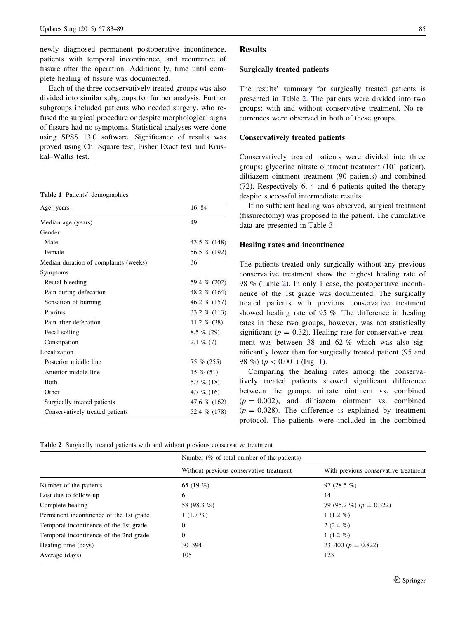<span id="page-2-0"></span>newly diagnosed permanent postoperative incontinence, patients with temporal incontinence, and recurrence of fissure after the operation. Additionally, time until complete healing of fissure was documented.

Each of the three conservatively treated groups was also divided into similar subgroups for further analysis. Further subgroups included patients who needed surgery, who refused the surgical procedure or despite morphological signs of fissure had no symptoms. Statistical analyses were done using SPSS 13.0 software. Significance of results was proved using Chi Square test, Fisher Exact test and Kruskal–Wallis test.

Table 1 Patients' demographics

| Age (years)                           | $16 - 84$       |  |
|---------------------------------------|-----------------|--|
| Median age (years)                    | 49              |  |
| Gender                                |                 |  |
| Male                                  | 43.5 % (148)    |  |
| Female                                | 56.5 % (192)    |  |
| Median duration of complaints (weeks) | 36              |  |
| Symptoms                              |                 |  |
| Rectal bleeding                       | 59.4 % (202)    |  |
| Pain during defecation                | 48.2 $\%$ (164) |  |
| Sensation of burning                  | 46.2 % (157)    |  |
| Pruritus                              | 33.2 $\%$ (113) |  |
| Pain after defecation                 | 11.2 $\%$ (38)  |  |
| Fecal soiling                         | $8.5 \% (29)$   |  |
| Constipation                          | $2.1\%$ (7)     |  |
| Localization                          |                 |  |
| Posterior middle line                 | 75 % (255)      |  |
| Anterior middle line                  | $15\%$ (51)     |  |
| <b>Both</b>                           | 5.3 $%$ (18)    |  |
| Other                                 | 4.7 $%$ (16)    |  |
| Surgically treated patients           | 47.6 % (162)    |  |
| Conservatively treated patients       | 52.4 % (178)    |  |

#### **Results**

#### Surgically treated patients

The results' summary for surgically treated patients is presented in Table 2. The patients were divided into two groups: with and without conservative treatment. No recurrences were observed in both of these groups.

#### Conservatively treated patients

Conservatively treated patients were divided into three groups: glycerine nitrate ointment treatment (101 patient), diltiazem ointment treatment (90 patients) and combined (72). Respectively 6, 4 and 6 patients quited the therapy despite successful intermediate results.

If no sufficient healing was observed, surgical treatment (fissurectomy) was proposed to the patient. The cumulative data are presented in Table [3.](#page-3-0)

#### Healing rates and incontinence

The patients treated only surgically without any previous conservative treatment show the highest healing rate of 98 % (Table 2). In only 1 case, the postoperative incontinence of the 1st grade was documented. The surgically treated patients with previous conservative treatment showed healing rate of 95 %. The difference in healing rates in these two groups, however, was not statistically significant ( $p = 0.32$ ). Healing rate for conservative treatment was between 38 and 62 % which was also significantly lower than for surgically treated patient (95 and 98 %) ( $p < 0.001$  $p < 0.001$ ) (Fig. 1).

Comparing the healing rates among the conservatively treated patients showed significant difference between the groups: nitrate ointment vs. combined  $(p = 0.002)$ , and diltiazem ointment vs. combined  $(p = 0.028)$ . The difference is explained by treatment protocol. The patients were included in the combined

Table 2 Surgically treated patients with and without previous conservative treatment

|                                         | Number $(\%$ of total number of the patients) |                                      |  |
|-----------------------------------------|-----------------------------------------------|--------------------------------------|--|
|                                         | Without previous conservative treatment       | With previous conservative treatment |  |
| Number of the patients                  | 65 $(19\%)$                                   | 97 $(28.5\%)$                        |  |
| Lost due to follow-up                   | 6                                             | 14                                   |  |
| Complete healing                        | 58 (98.3 %)                                   | 79 (95.2 %) ( $p = 0.322$ )          |  |
| Permanent incontinence of the 1st grade | $1(1.7\%)$                                    | $1(1.2\%)$                           |  |
| Temporal incontinence of the 1st grade  | 0                                             | 2 $(2.4\%)$                          |  |
| Temporal incontinence of the 2nd grade  | $\theta$                                      | $1(1.2\%)$                           |  |
| Healing time (days)                     | $30 - 394$                                    | $23-400 (p = 0.822)$                 |  |
| Average (days)                          | 105                                           | 123                                  |  |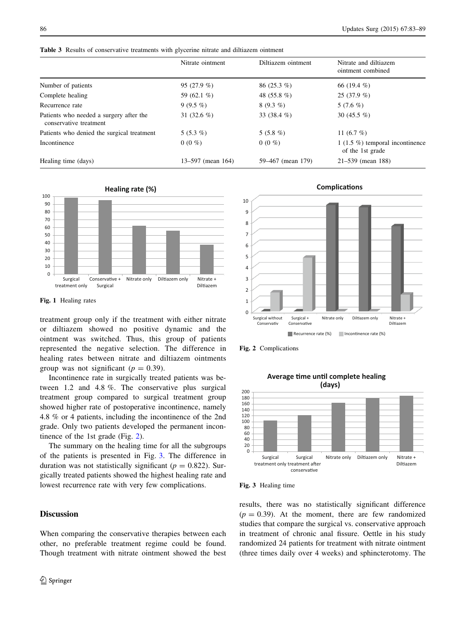|                                                                   | Nitrate ointment             | Diltiazem ointment | Nitrate and diltiazem<br>ointment combined             |  |
|-------------------------------------------------------------------|------------------------------|--------------------|--------------------------------------------------------|--|
| Number of patients                                                | 95 $(27.9\%)$                | $86(25.3\%)$       | 66 $(19.4\%)$                                          |  |
| Complete healing                                                  | 59 (62.1 %)<br>48 $(55.8\%)$ |                    | $25(37.9\%)$                                           |  |
| Recurrence rate                                                   | $9(9.5\%)$                   | $8(9.3\%)$         | 5 $(7.6\%)$                                            |  |
| Patients who needed a surgery after the<br>conservative treatment | 31 $(32.6 \%)$               | 33 $(38.4\%)$      | 30 $(45.5\%)$                                          |  |
| Patients who denied the surgical treatment                        | $5(5.3\%)$                   | 5 $(5.8\%)$        | 11 $(6.7 \%)$                                          |  |
| Incontinence                                                      | $0(0\%)$                     | $0(0\%$            | 1 (1.5 $%$ ) temporal incontinence<br>of the 1st grade |  |
| Healing time (days)                                               | 13–597 (mean 164)            | 59–467 (mean 179)  | $21 - 539$ (mean 188)                                  |  |

<span id="page-3-0"></span>Table 3 Results of conservative treatments with glycerine nitrate and diltiazem ointment



Fig. 1 Healing rates

treatment group only if the treatment with either nitrate or diltiazem showed no positive dynamic and the ointment was switched. Thus, this group of patients represented the negative selection. The difference in healing rates between nitrate and diltiazem ointments group was not significant ( $p = 0.39$ ).

Incontinence rate in surgically treated patients was between 1.2 and 4.8 %. The conservative plus surgical treatment group compared to surgical treatment group showed higher rate of postoperative incontinence, namely 4.8 % or 4 patients, including the incontinence of the 2nd grade. Only two patients developed the permanent incontinence of the 1st grade (Fig. 2).

The summary on the healing time for all the subgroups of the patients is presented in Fig. 3. The difference in duration was not statistically significant ( $p = 0.822$ ). Surgically treated patients showed the highest healing rate and lowest recurrence rate with very few complications.

# **Discussion**

When comparing the conservative therapies between each other, no preferable treatment regime could be found. Though treatment with nitrate ointment showed the best



Fig. 2 Complications





Fig. 3 Healing time

results, there was no statistically significant difference  $(p = 0.39)$ . At the moment, there are few randomized studies that compare the surgical vs. conservative approach in treatment of chronic anal fissure. Oettle in his study randomized 24 patients for treatment with nitrate ointment (three times daily over 4 weeks) and sphincterotomy. The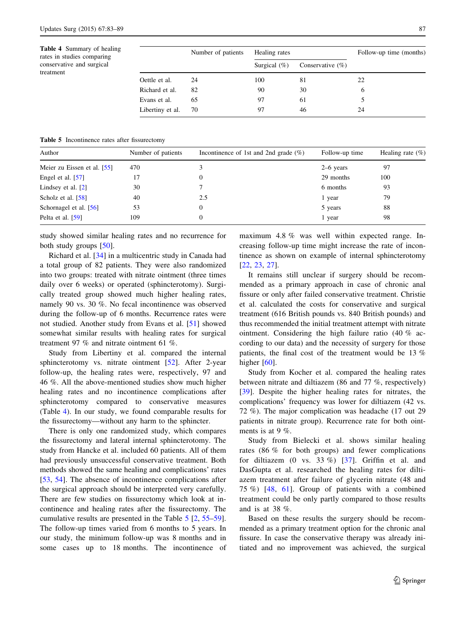Table 4 Summary of healing rates in studies comparing conservative and surgical treatment

|                  | Number of patients | Healing rates   |                     | Follow-up time (months) |  |
|------------------|--------------------|-----------------|---------------------|-------------------------|--|
|                  |                    | Surgical $(\%)$ | Conservative $(\%)$ |                         |  |
| Oettle et al.    | 24                 | 100             | 81                  | 22                      |  |
| Richard et al.   | 82                 | 90              | 30                  | 6                       |  |
| Evans et al.     | 65                 | 97              | 61                  |                         |  |
| Libertiny et al. | 70                 | 97              | 46                  | 24                      |  |

Table 5 Incontinence rates after fissurectomy

| Author                      | Number of patients | Incontinence of 1st and 2nd grade $(\%)$ | Follow-up time | Healing rate $(\% )$ |
|-----------------------------|--------------------|------------------------------------------|----------------|----------------------|
| Meier zu Eissen et al. [55] | 470                |                                          | $2-6$ years    | 97                   |
| Engel et al. [57]           |                    |                                          | 29 months      | 100                  |
| Lindsey et al. $[2]$        | 30                 |                                          | 6 months       | 93                   |
| Scholz et al. [58]          | 40                 | 2.5                                      | 1 year         | 79                   |
| Schornagel et al. $[56]$    | 53                 | 0                                        | 5 years        | 88                   |
| Pelta et al. $[59]$         | 109                |                                          | 1 year         | 98                   |

study showed similar healing rates and no recurrence for both study groups [[50\]](#page-6-0).

Richard et al. [\[34](#page-5-0)] in a multicentric study in Canada had a total group of 82 patients. They were also randomized into two groups: treated with nitrate ointment (three times daily over 6 weeks) or operated (sphincterotomy). Surgically treated group showed much higher healing rates, namely 90 vs. 30 %. No fecal incontinence was observed during the follow-up of 6 months. Recurrence rates were not studied. Another study from Evans et al. [[51\]](#page-6-0) showed somewhat similar results with healing rates for surgical treatment 97 % and nitrate ointment 61 %.

Study from Libertiny et al. compared the internal sphincterotomy vs. nitrate ointment [\[52](#page-6-0)]. After 2-year follow-up, the healing rates were, respectively, 97 and 46 %. All the above-mentioned studies show much higher healing rates and no incontinence complications after sphincterotomy compared to conservative measures (Table 4). In our study, we found comparable results for the fissurectomy—without any harm to the sphincter.

There is only one randomized study, which compares the fissurectomy and lateral internal sphincterotomy. The study from Hancke et al. included 60 patients. All of them had previously unsuccessful conservative treatment. Both methods showed the same healing and complications' rates [\[53](#page-6-0), [54](#page-6-0)]. The absence of incontinence complications after the surgical approach should be interpreted very carefully. There are few studies on fissurectomy which look at incontinence and healing rates after the fissurectomy. The cumulative results are presented in the Table 5 [[2,](#page-5-0) [55–59](#page-6-0)]. The follow-up times varied from 6 months to 5 years. In our study, the minimum follow-up was 8 months and in some cases up to 18 months. The incontinence of maximum 4.8 % was well within expected range. Increasing follow-up time might increase the rate of incontinence as shown on example of internal sphincterotomy [\[22](#page-5-0), [23](#page-5-0), [27](#page-5-0)].

It remains still unclear if surgery should be recommended as a primary approach in case of chronic anal fissure or only after failed conservative treatment. Christie et al. calculated the costs for conservative and surgical treatment (616 British pounds vs. 840 British pounds) and thus recommended the initial treatment attempt with nitrate ointment. Considering the high failure ratio (40 % according to our data) and the necessity of surgery for those patients, the final cost of the treatment would be 13 % higher [\[60](#page-6-0)].

Study from Kocher et al. compared the healing rates between nitrate and diltiazem (86 and 77 %, respectively) [\[39](#page-6-0)]. Despite the higher healing rates for nitrates, the complications' frequency was lower for diltiazem (42 vs. 72 %). The major complication was headache (17 out 29 patients in nitrate group). Recurrence rate for both ointments is at 9 %.

Study from Bielecki et al. shows similar healing rates (86 % for both groups) and fewer complications for diltiazem  $(0 \text{ vs. } 33 \%)$  [\[37](#page-6-0)]. Griffin et al. and DasGupta et al. researched the healing rates for diltiazem treatment after failure of glycerin nitrate (48 and 75 %) [\[48](#page-6-0), [61\]](#page-6-0). Group of patients with a combined treatment could be only partly compared to those results and is at 38 %.

Based on these results the surgery should be recommended as a primary treatment option for the chronic anal fissure. In case the conservative therapy was already initiated and no improvement was achieved, the surgical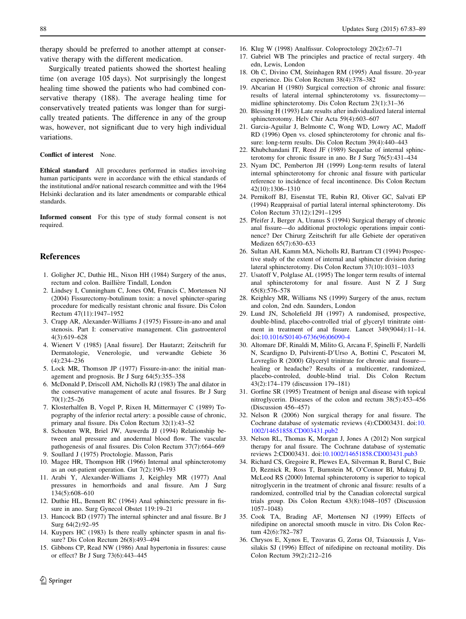<span id="page-5-0"></span>therapy should be preferred to another attempt at conservative therapy with the different medication.

Surgically treated patients showed the shortest healing time (on average 105 days). Not surprisingly the longest healing time showed the patients who had combined conservative therapy (188). The average healing time for conservatively treated patients was longer than for surgically treated patients. The difference in any of the group was, however, not significant due to very high individual variations.

#### Conflict of interest None.

Ethical standard All procedures performed in studies involving human participants were in accordance with the ethical standards of the institutional and/or national research committee and with the 1964 Helsinki declaration and its later amendments or comparable ethical standards.

Informed consent For this type of study formal consent is not required.

## References

- 1. Goligher JC, Duthie HL, Nixon HH (1984) Surgery of the anus, rectum and colon. Baillière Tindall, London
- 2. Lindsey I, Cunningham C, Jones OM, Francis C, Mortensen NJ (2004) Fissurectomy-botulinum toxin: a novel sphincter-sparing procedure for medically resistant chronic anal fissure. Dis Colon Rectum 47(11):1947–1952
- 3. Crapp AR, Alexander-Williams J (1975) Fissure-in-ano and anal stenosis. Part I: conservative management. Clin gastroenterol 4(3):619–628
- 4. Wienert V (1985) [Anal fissure]. Der Hautarzt; Zeitschrift fur Dermatologie, Venerologie, und verwandte Gebiete 36 (4):234–236
- 5. Lock MR, Thomson JP (1977) Fissure-in-ano: the initial management and prognosis. Br J Surg 64(5):355–358
- 6. McDonald P, Driscoll AM, Nicholls RJ (1983) The anal dilator in the conservative management of acute anal fissures. Br J Surg 70(1):25–26
- 7. Klosterhalfen B, Vogel P, Rixen H, Mittermayer C (1989) Topography of the inferior rectal artery: a possible cause of chronic, primary anal fissure. Dis Colon Rectum 32(1):43–52
- 8. Schouten WR, Briel JW, Auwerda JJ (1994) Relationship between anal pressure and anodermal blood flow. The vascular pathogenesis of anal fissures. Dis Colon Rectum 37(7):664–669 9. Soullard J (1975) Proctologie. Masson, Paris
- 10. Magee HR, Thompson HR (1966) Internal anal sphincterotomy as an out-patient operation. Gut 7(2):190–193
- 11. Arabi Y, Alexander-Williams J, Keighley MR (1977) Anal pressures in hemorrhoids and anal fissure. Am J Surg 134(5):608–610
- 12. Duthie HL, Bennett RC (1964) Anal sphincteric pressure in fissure in ano. Surg Gynecol Obstet 119:19–21
- 13. Hancock BD (1977) The internal sphincter and anal fissure. Br J Surg 64(2):92–95
- 14. Kuypers HC (1983) Is there really sphincter spasm in anal fissure? Dis Colon Rectum 26(8):493–494
- 15. Gibbons CP, Read NW (1986) Anal hypertonia in fissures: cause or effect? Br J Surg 73(6):443–445
- 16. Klug W (1998) Analfissur. Coloproctology 20(2):67–71
- 17. Gabriel WB The principles and practice of rectal surgery. 4th edn, Lewis, London
- 18. Oh C, Divino CM, Steinhagen RM (1995) Anal fissure. 20-year experience. Dis Colon Rectum 38(4):378–382
- 19. Abcarian H (1980) Surgical correction of chronic anal fissure: results of lateral internal sphincterotomy vs. fissurectomy midline sphincterotomy. Dis Colon Rectum 23(1):31–36
- 20. Blessing H (1993) Late results after individualized lateral internal sphincterotomy. Helv Chir Acta 59(4):603–607
- 21. Garcia-Aguilar J, Belmonte C, Wong WD, Lowry AC, Madoff RD (1996) Open vs. closed sphincterotomy for chronic anal fissure: long-term results. Dis Colon Rectum 39(4):440–443
- 22. Khubchandani IT, Reed JF (1989) Sequelae of internal sphincterotomy for chronic fissure in ano. Br J Surg 76(5):431–434
- 23. Nyam DC, Pemberton JH (1999) Long-term results of lateral internal sphincterotomy for chronic anal fissure with particular reference to incidence of fecal incontinence. Dis Colon Rectum 42(10):1306–1310
- 24. Pernikoff BJ, Eisenstat TE, Rubin RJ, Oliver GC, Salvati EP (1994) Reappraisal of partial lateral internal sphincterotomy. Dis Colon Rectum 37(12):1291–1295
- 25. Pfeifer J, Berger A, Uranus S (1994) Surgical therapy of chronic anal fissure—do additional proctologic operations impair continence? Der Chirurg Zeitschrift fur alle Gebiete der operativen Medizen 65(7):630–633
- 26. Sultan AH, Kamm MA, Nicholls RJ, Bartram CI (1994) Prospective study of the extent of internal anal sphincter division during lateral sphincterotomy. Dis Colon Rectum 37(10):1031–1033
- 27. Usatoff V, Polglase AL (1995) The longer term results of internal anal sphincterotomy for anal fissure. Aust N Z J Surg 65(8):576–578
- 28. Keighley MR, Williams NS (1999) Surgery of the anus, rectum and colon, 2nd edn. Saunders, London
- 29. Lund JN, Scholefield JH (1997) A randomised, prospective, double-blind, placebo-controlled trial of glyceryl trinitrate ointment in treatment of anal fissure. Lancet 349(9044):11–14. doi:[10.1016/S0140-6736\(96\)06090-4](http://dx.doi.org/10.1016/S0140-6736(96)06090-4)
- 30. Altomare DF, Rinaldi M, Milito G, Arcana F, Spinelli F, Nardelli N, Scardigno D, Pulvirenti-D'Urso A, Bottini C, Pescatori M, Lovreglio R (2000) Glyceryl trinitrate for chronic anal fissure healing or headache? Results of a multicenter, randomized, placebo-controled, double-blind trial. Dis Colon Rectum 43(2):174–179 (discussion 179–181)
- 31. Gorfine SR (1995) Treatment of benign anal disease with topical nitroglycerin. Diseases of the colon and rectum 38(5):453–456 (Discussion 456–457)
- 32. Nelson R (2006) Non surgical therapy for anal fissure. The Cochrane database of systematic reviews (4):CD003431. doi:[10.](http://dx.doi.org/10.1002/14651858.CD003431.pub2) [1002/14651858.CD003431.pub2](http://dx.doi.org/10.1002/14651858.CD003431.pub2)
- 33. Nelson RL, Thomas K, Morgan J, Jones A (2012) Non surgical therapy for anal fissure. The Cochrane database of systematic reviews 2:CD003431. doi:[10.1002/14651858.CD003431.pub3](http://dx.doi.org/10.1002/14651858.CD003431.pub3)
- 34. Richard CS, Gregoire R, Plewes EA, Silverman R, Burul C, Buie D, Reznick R, Ross T, Burnstein M, O'Connor BI, Mukraj D, McLeod RS (2000) Internal sphincterotomy is superior to topical nitroglycerin in the treatment of chronic anal fissure: results of a randomized, controlled trial by the Canadian colorectal surgical trials group. Dis Colon Rectum 43(8):1048–1057 (Discussion 1057–1048)
- 35. Cook TA, Brading AF, Mortensen NJ (1999) Effects of nifedipine on anorectal smooth muscle in vitro. Dis Colon Rectum 42(6):782–787
- 36. Chrysos E, Xynos E, Tzovaras G, Zoras OJ, Tsiaoussis J, Vassilakis SJ (1996) Effect of nifedipine on rectoanal motility. Dis Colon Rectum 39(2):212–216